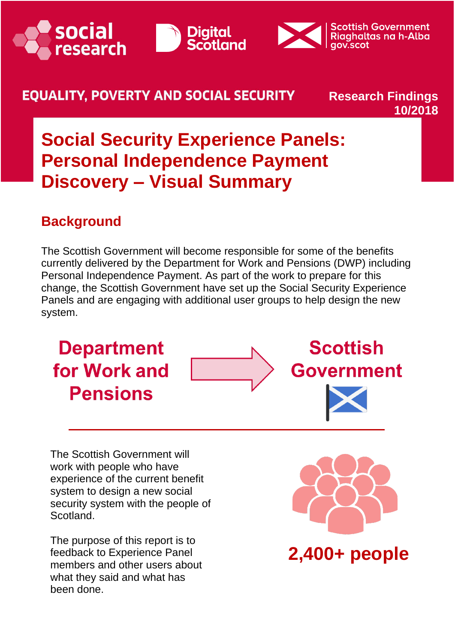





#### **EOUALITY. POVERTY AND SOCIAL SECURITY**

#### **Research Findings 10/2018**

## **Social Security Experience Panels: Personal Independence Payment Discovery – Visual Summary**

### **Background**

The Scottish Government will become responsible for some of the benefits currently delivered by the Department for Work and Pensions (DWP) including Personal Independence Payment. As part of the work to prepare for this change, the Scottish Government have set up the Social Security Experience Panels and are engaging with additional user groups to help design the new system.

**Department** for Work and **Pensions** 





**Scottish** 

The Scottish Government will work with people who have experience of the current benefit system to design a new social security system with the people of Scotland.

The purpose of this report is to feedback to Experience Panel members and other users about what they said and what has been done.



**2,400+ people**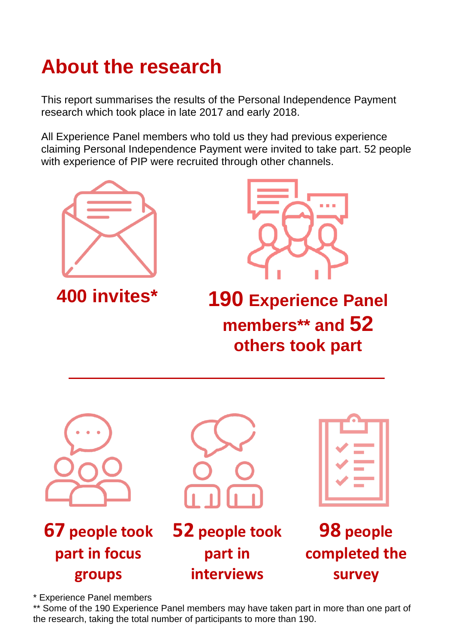# **About the research**

This report summarises the results of the Personal Independence Payment research which took place in late 2017 and early 2018.

All Experience Panel members who told us they had previous experience claiming Personal Independence Payment were invited to take part. 52 people with experience of PIP were recruited through other channels.





**400 invites\* 190 Experience Panel members\*\* and 52 others took part**



**67 people took part in focus groups**



**52 people took part in interviews**

| and the state of<br>V<br><b>Contract</b> |
|------------------------------------------|
| <b>Contract</b>                          |

**98 people completed the survey** 

\* Experience Panel members

\*\* Some of the 190 Experience Panel members may have taken part in more than one part of the research, taking the total number of participants to more than 190.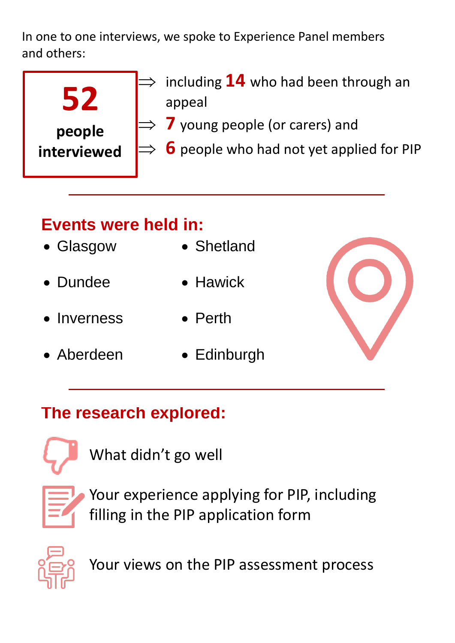In one to one interviews, we spoke to Experience Panel members and others:

| people      |  |
|-------------|--|
| interviewed |  |

- $\Rightarrow$  including  ${\bf 14}$  who had been through an appeal
- $\Rightarrow$  7 young people (or carers) and
- $\Rightarrow$  6 people who had not yet applied for PIP

## **Events were held in:**

- Glasgow
- Shetland
- Dundee • Hawick
- Inverness • Perth
- Aberdeen Edinburgh



### **The research explored:**



What didn't go well



Your experience applying for PIP, including filling in the PIP application form



Your views on the PIP assessment process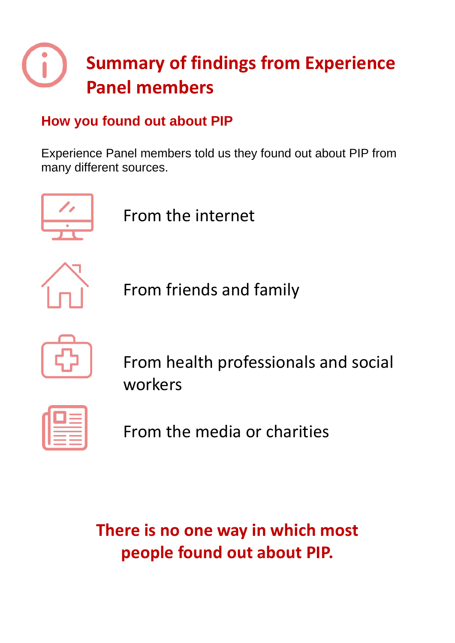# **Summary of findings from Experience Panel members**

### **How you found out about PIP**

Experience Panel members told us they found out about PIP from many different sources.



From the internet



From friends and family



From health professionals and social workers

| . .                                        |  |
|--------------------------------------------|--|
|                                            |  |
| ___<br>۰                                   |  |
|                                            |  |
| <b>Contract Contract Contract Contract</b> |  |
| __                                         |  |
|                                            |  |

From the media or charities

**There is no one way in which most people found out about PIP.**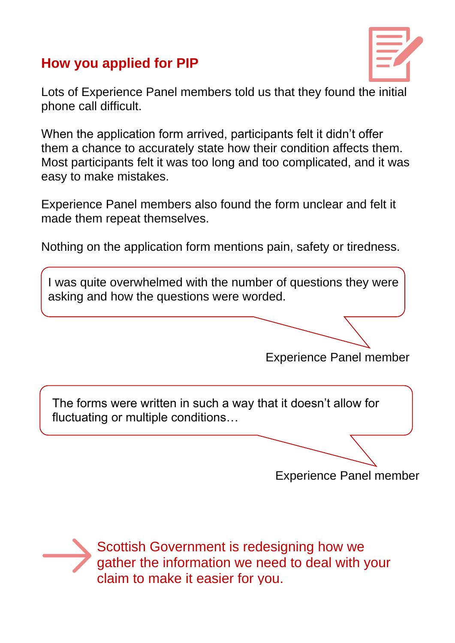### **How you applied for PIP**



Lots of Experience Panel members told us that they found the initial phone call difficult.

When the application form arrived, participants felt it didn't offer them a chance to accurately state how their condition affects them. Most participants felt it was too long and too complicated, and it was easy to make mistakes.

Experience Panel members also found the form unclear and felt it made them repeat themselves.

Nothing on the application form mentions pain, safety or tiredness.

I was quite overwhelmed with the number of questions they were asking and how the questions were worded.

Experience Panel member

The forms were written in such a way that it doesn't allow for fluctuating or multiple conditions…

Experience Panel member



Scottish Government is redesigning how we gather the information we need to deal with your claim to make it easier for you.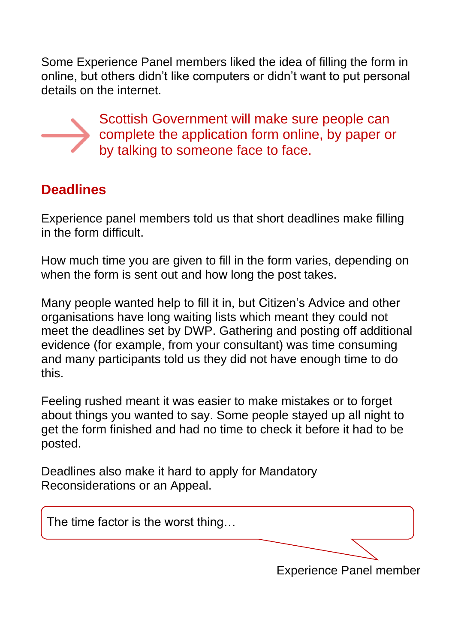Some Experience Panel members liked the idea of filling the form in online, but others didn't like computers or didn't want to put personal details on the internet.



Scottish Government will make sure people can complete the application form online, by paper or by talking to someone face to face.

### **Deadlines**

Experience panel members told us that short deadlines make filling in the form difficult.

How much time you are given to fill in the form varies, depending on when the form is sent out and how long the post takes.

Many people wanted help to fill it in, but Citizen's Advice and other organisations have long waiting lists which meant they could not meet the deadlines set by DWP. Gathering and posting off additional evidence (for example, from your consultant) was time consuming and many participants told us they did not have enough time to do this.

Feeling rushed meant it was easier to make mistakes or to forget about things you wanted to say. Some people stayed up all night to get the form finished and had no time to check it before it had to be posted.

Deadlines also make it hard to apply for Mandatory Reconsiderations or an Appeal.

The time factor is the worst thing… Experience Panel member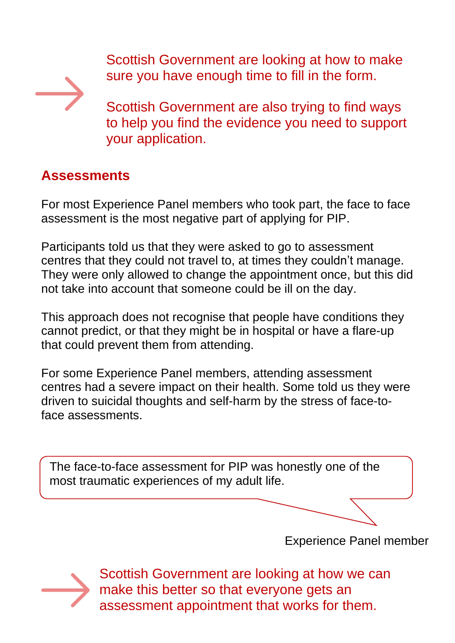Scottish Government are looking at how to make sure you have enough time to fill in the form.



Scottish Government are also trying to find ways to help you find the evidence you need to support your application.

### **Assessments**

For most Experience Panel members who took part, the face to face assessment is the most negative part of applying for PIP.

Participants told us that they were asked to go to assessment centres that they could not travel to, at times they couldn't manage. They were only allowed to change the appointment once, but this did not take into account that someone could be ill on the day.

This approach does not recognise that people have conditions they cannot predict, or that they might be in hospital or have a flare-up that could prevent them from attending.

For some Experience Panel members, attending assessment centres had a severe impact on their health. Some told us they were driven to suicidal thoughts and self-harm by the stress of face-toface assessments.

The face-to-face assessment for PIP was honestly one of the most traumatic experiences of my adult life.

Experience Panel member



Scottish Government are looking at how we can make this better so that everyone gets an assessment appointment that works for them.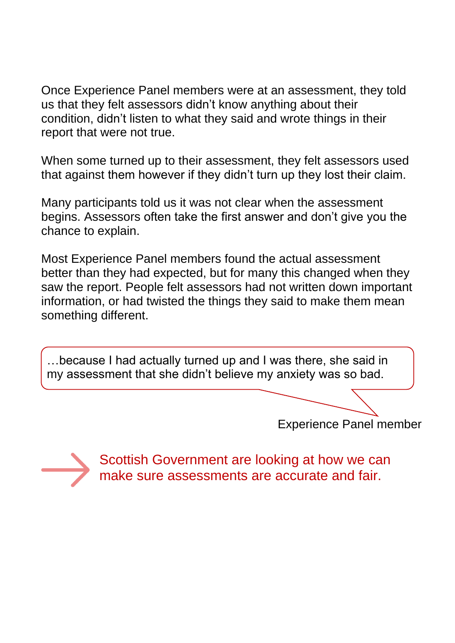Once Experience Panel members were at an assessment, they told us that they felt assessors didn't know anything about their condition, didn't listen to what they said and wrote things in their report that were not true.

When some turned up to their assessment, they felt assessors used that against them however if they didn't turn up they lost their claim.

Many participants told us it was not clear when the assessment begins. Assessors often take the first answer and don't give you the chance to explain.

Most Experience Panel members found the actual assessment better than they had expected, but for many this changed when they saw the report. People felt assessors had not written down important information, or had twisted the things they said to make them mean something different.

…because I had actually turned up and I was there, she said in my assessment that she didn't believe my anxiety was so bad.

Experience Panel member



Scottish Government are looking at how we can make sure assessments are accurate and fair.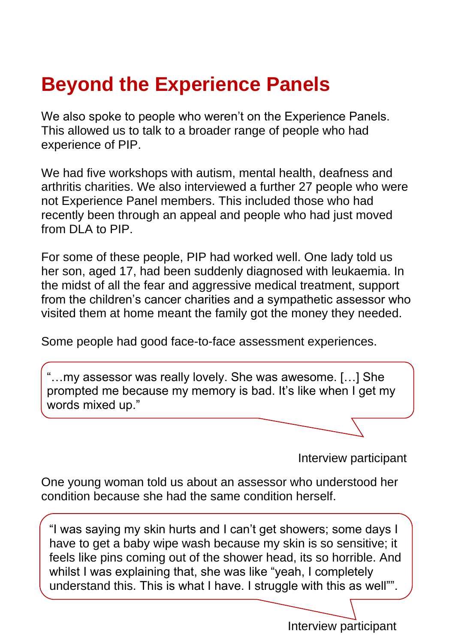## **Beyond the Experience Panels**

We also spoke to people who weren't on the Experience Panels. This allowed us to talk to a broader range of people who had experience of PIP.

We had five workshops with autism, mental health, deafness and arthritis charities. We also interviewed a further 27 people who were not Experience Panel members. This included those who had recently been through an appeal and people who had just moved from DLA to PIP.

For some of these people, PIP had worked well. One lady told us her son, aged 17, had been suddenly diagnosed with leukaemia. In the midst of all the fear and aggressive medical treatment, support from the children's cancer charities and a sympathetic assessor who visited them at home meant the family got the money they needed.

Some people had good face-to-face assessment experiences.

...my assessor was really lovely. She was awesome. [...] She prompted me because my memory is bad. It's like when I get my words mixed up."

Interview participant

One young woman told us about an assessor who understood her condition because she had the same condition herself.

"I was saying my skin hurts and I can't get showers; some days I have to get a baby wipe wash because my skin is so sensitive; it feels like pins coming out of the shower head, its so horrible. And whilst I was explaining that, she was like "yeah, I completely understand this. This is what I have. I struggle with this as well"".

Interview participant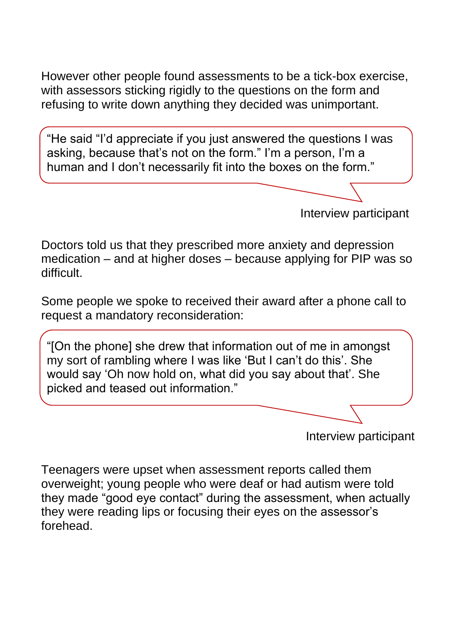However other people found assessments to be a tick-box exercise, with assessors sticking rigidly to the questions on the form and refusing to write down anything they decided was unimportant.

"He said "I'd appreciate if you just answered the questions I was asking, because that's not on the form." I'm a person, I'm a human and I don't necessarily fit into the boxes on the form."

Interview participant

Doctors told us that they prescribed more anxiety and depression medication – and at higher doses – because applying for PIP was so difficult.

Some people we spoke to received their award after a phone call to request a mandatory reconsideration:

"[On the phone] she drew that information out of me in amongst my sort of rambling where I was like 'But I can't do this'. She would say 'Oh now hold on, what did you say about that'. She picked and teased out information."

Interview participant

Teenagers were upset when assessment reports called them overweight; young people who were deaf or had autism were told they made "good eye contact" during the assessment, when actually they were reading lips or focusing their eyes on the assessor's forehead.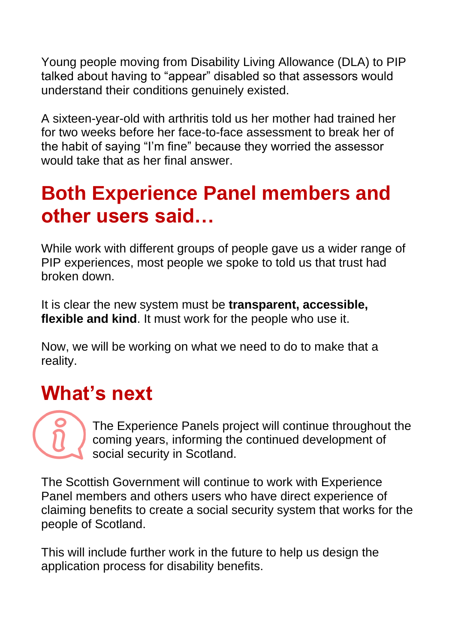Young people moving from Disability Living Allowance (DLA) to PIP talked about having to "appear" disabled so that assessors would understand their conditions genuinely existed.

A sixteen-year-old with arthritis told us her mother had trained her for two weeks before her face-to-face assessment to break her of the habit of saying "I'm fine" because they worried the assessor would take that as her final answer.

## **Both Experience Panel members and other users said…**

While work with different groups of people gave us a wider range of PIP experiences, most people we spoke to told us that trust had broken down.

It is clear the new system must be **transparent, accessible, flexible and kind**. It must work for the people who use it.

Now, we will be working on what we need to do to make that a reality.

## **What's next**

The Experience Panels project will continue throughout the coming years, informing the continued development of social security in Scotland.

The Scottish Government will continue to work with Experience Panel members and others users who have direct experience of claiming benefits to create a social security system that works for the people of Scotland.

This will include further work in the future to help us design the application process for disability benefits.